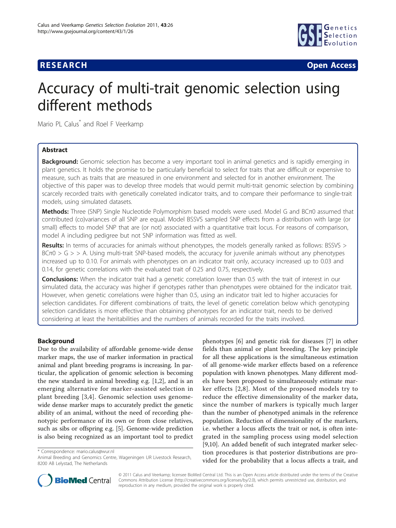## **RESEARCH CONSTRUCTION CONSTRUCTS**



# Accuracy of multi-trait genomic selection using different methods

Mario PL Calus\* and Roel F Veerkamp

## Abstract

**Background:** Genomic selection has become a very important tool in animal genetics and is rapidly emerging in plant genetics. It holds the promise to be particularly beneficial to select for traits that are difficult or expensive to measure, such as traits that are measured in one environment and selected for in another environment. The objective of this paper was to develop three models that would permit multi-trait genomic selection by combining scarcely recorded traits with genetically correlated indicator traits, and to compare their performance to single-trait models, using simulated datasets.

Methods: Three (SNP) Single Nucleotide Polymorphism based models were used. Model G and BCπ0 assumed that contributed (co)variances of all SNP are equal. Model BSSVS sampled SNP effects from a distribution with large (or small) effects to model SNP that are (or not) associated with a quantitative trait locus. For reasons of comparison, model A including pedigree but not SNP information was fitted as well.

Results: In terms of accuracies for animals without phenotypes, the models generally ranked as follows: BSSVS >  $BCT0 > G > A$ . Using multi-trait SNP-based models, the accuracy for juvenile animals without any phenotypes increased up to 0.10. For animals with phenotypes on an indicator trait only, accuracy increased up to 0.03 and 0.14, for genetic correlations with the evaluated trait of 0.25 and 0.75, respectively.

Conclusions: When the indicator trait had a genetic correlation lower than 0.5 with the trait of interest in our simulated data, the accuracy was higher if genotypes rather than phenotypes were obtained for the indicator trait. However, when genetic correlations were higher than 0.5, using an indicator trait led to higher accuracies for selection candidates. For different combinations of traits, the level of genetic correlation below which genotyping selection candidates is more effective than obtaining phenotypes for an indicator trait, needs to be derived considering at least the heritabilities and the numbers of animals recorded for the traits involved.

## Background

Due to the availability of affordable genome-wide dense marker maps, the use of marker information in practical animal and plant breeding programs is increasing. In particular, the application of genomic selection is becoming the new standard in animal breeding e.g. [\[1,2](#page-12-0)], and is an emerging alternative for marker-assisted selection in plant breeding [[3](#page-12-0),[4\]](#page-12-0). Genomic selection uses genomewide dense marker maps to accurately predict the genetic ability of an animal, without the need of recording phenotypic performance of its own or from close relatives, such as sibs or offspring e.g. [\[5](#page-12-0)]. Genome-wide prediction is also being recognized as an important tool to predict

\* Correspondence: [mario.calus@wur.nl](mailto:mario.calus@wur.nl)

Animal Breeding and Genomics Centre, Wageningen UR Livestock Research, 8200 AB Lelystad, The Netherlands

phenotypes [[6\]](#page-12-0) and genetic risk for diseases [[7\]](#page-12-0) in other fields than animal or plant breeding. The key principle for all these applications is the simultaneous estimation of all genome-wide marker effects based on a reference population with known phenotypes. Many different models have been proposed to simultaneously estimate marker effects [\[2,8](#page-12-0)]. Most of the proposed models try to reduce the effective dimensionality of the marker data, since the number of markers is typically much larger than the number of phenotyped animals in the reference population. Reduction of dimensionality of the markers, i.e. whether a locus affects the trait or not, is often integrated in the sampling process using model selection [[9,10](#page-12-0)]. An added benefit of such integrated marker selection procedures is that posterior distributions are provided for the probability that a locus affects a trait, and



© 2011 Calus and Veerkamp; licensee BioMed Central Ltd. This is an Open Access article distributed under the terms of the Creative Commons Attribution License [\(http://creativecommons.org/licenses/by/2.0](http://creativecommons.org/licenses/by/2.0)), which permits unrestricted use, distribution, and reproduction in any medium, provided the original work is properly cited.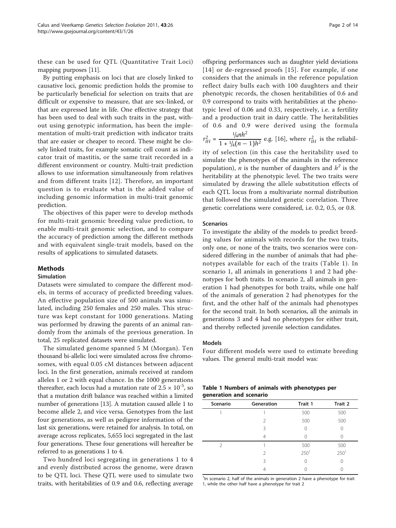these can be used for QTL (Quantitative Trait Loci) mapping purposes [[11](#page-12-0)].

By putting emphasis on loci that are closely linked to causative loci, genomic prediction holds the promise to be particularly beneficial for selection on traits that are difficult or expensive to measure, that are sex-linked, or that are expressed late in life. One effective strategy that has been used to deal with such traits in the past, without using genotypic information, has been the implementation of multi-trait prediction with indicator traits that are easier or cheaper to record. These might be closely linked traits, for example somatic cell count as indicator trait of mastitis, or the same trait recorded in a different environment or country. Multi-trait prediction allows to use information simultaneously from relatives and from different traits [[12\]](#page-12-0). Therefore, an important question is to evaluate what is the added value of including genomic information in multi-trait genomic prediction.

The objectives of this paper were to develop methods for multi-trait genomic breeding value prediction, to enable multi-trait genomic selection, and to compare the accuracy of prediction among the different methods and with equivalent single-trait models, based on the results of applications to simulated datasets.

## Methods

### Simulation

Datasets were simulated to compare the different models, in terms of accuracy of predicted breeding values. An effective population size of 500 animals was simulated, including 250 females and 250 males. This structure was kept constant for 1000 generations. Mating was performed by drawing the parents of an animal randomly from the animals of the previous generation. In total, 25 replicated datasets were simulated.

The simulated genome spanned 5 M (Morgan). Ten thousand bi-allelic loci were simulated across five chromosomes, with equal 0.05 cM distances between adjacent loci. In the first generation, animals received at random alleles 1 or 2 with equal chance. In the 1000 generations thereafter, each locus had a mutation rate of  $2.5 \times 10^{-5}$ , so that a mutation drift balance was reached within a limited number of generations [\[13](#page-12-0)]. A mutation caused allele 1 to become allele 2, and vice versa. Genotypes from the last four generations, as well as pedigree information of the last six generations, were retained for analysis. In total, on average across replicates, 5,655 loci segregated in the last four generations. These four generations will hereafter be referred to as generations 1 to 4.

Two hundred loci segregating in generations 1 to 4 and evenly distributed across the genome, were drawn to be QTL loci. These QTL were used to simulate two traits, with heritabilities of 0.9 and 0.6, reflecting average

offspring performances such as daughter yield deviations [[14\]](#page-12-0) or de-regressed proofs [\[15\]](#page-12-0). For example, if one considers that the animals in the reference population reflect dairy bulls each with 100 daughters and their phenotypic records, the chosen heritabilities of 0.6 and 0.9 correspond to traits with heritabilities at the phenotypic level of 0.06 and 0.33, respectively, i.e. a fertility and a production trait in dairy cattle. The heritabilities of 0.6 and 0.9 were derived using the formula  $r_{IH}^2 = \frac{1/4nh^2}{1 + 1/4(n-1)h^2}$  e.g. [[16\]](#page-12-0), where  $r_{IH}^2$  is the reliabil-

ity of selection (in this case the heritability used to simulate the phenotypes of the animals in the reference population), *n* is the number of daughters and  $h^2$  is the heritability at the phenotypic level. The two traits were simulated by drawing the allele substitution effects of each QTL locus from a multivariate normal distribution that followed the simulated genetic correlation. Three genetic correlations were considered, i.e. 0.2, 0.5, or 0.8.

#### Scenarios

To investigate the ability of the models to predict breeding values for animals with records for the two traits, only one, or none of the traits, two scenarios were considered differing in the number of animals that had phenotypes available for each of the traits (Table 1). In scenario 1, all animals in generations 1 and 2 had phenotypes for both traits. In scenario 2, all animals in generation 1 had phenotypes for both traits, while one half of the animals of generation 2 had phenotypes for the first, and the other half of the animals had phenotypes for the second trait. In both scenarios, all the animals in generations 3 and 4 had no phenotypes for either trait, and thereby reflected juvenile selection candidates.

#### Models

Four different models were used to estimate breeding values. The general multi-trait model was:

#### Table 1 Numbers of animals with phenotypes per generation and scenario

| Scenario | Generation    | Trait 1          | Trait 2          |
|----------|---------------|------------------|------------------|
|          |               | 500              | 500              |
|          | $\mathcal{P}$ | 500              | 500              |
|          | 3             |                  |                  |
|          | 4             |                  |                  |
| 2        |               | 500              | 500              |
|          | $\mathcal{P}$ | 250 <sup>1</sup> | 250 <sup>1</sup> |
|          | 3             |                  |                  |
|          |               |                  |                  |

<sup>1</sup>In scenario 2, half of the animals in generation 2 have a phenotype for trait 1, while the other half have a phenotype for trait 2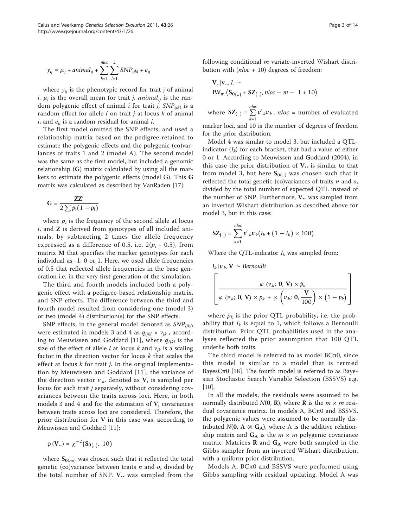$$
\gamma_{ij} = \mu_j + animal_{ij} + \sum_{k=1}^{nloc} \sum_{l=1}^{2} SNP_{ijkl} + e_{ij}
$$

where  $y_{ii}$  is the phenotypic record for trait j of animal i,  $\mu_i$  is the overall mean for trait *j, animal<sub>ii</sub>* is the random polygenic effect of animal *i* for trait *j*,  $SNP_{iikl}$  is a random effect for allele  $l$  on trait  $j$  at locus  $k$  of animal  $i$ , and  $e_{ii}$  is a random residual for animal  $i$ .

The first model omitted the SNP effects, and used a relationship matrix based on the pedigree retained to estimate the polygenic effects and the polygenic (co)variances of traits 1 and 2 (model A). The second model was the same as the first model, but included a genomic relationship (G) matrix calculated by using all the markers to estimate the polygenic effects (model G). This G matrix was calculated as described by VanRaden [[17](#page-12-0)]:

$$
\mathbf{G} = \frac{\mathbf{ZZ}'}{2\sum p_i(1-p_i)}
$$

where  $p_i$  is the frequency of the second allele at locus  $i$ , and  $Z$  is derived from genotypes of all included animals, by subtracting 2 times the allele frequency expressed as a difference of 0.5, i.e.  $2(p_i - 0.5)$ , from matrix M that specifies the marker genotypes for each individual as -1, 0 or 1. Here, we used allele frequencies of 0.5 that reflected allele frequencies in the base generation i.e. in the very first generation of the simulation.

The third and fourth models included both a polygenic effect with a pedigree-based relationship matrix, and SNP effects. The difference between the third and fourth model resulted from considering one (model 3) or two (model 4) distribution(s) for the SNP effects.

SNP effects, in the general model denoted as  $SNP_{ijkl}$ , were estimated in models 3 and 4 as  $q_{ijkl} \times v_{jk}$ , accord-ing to Meuwissen and Goddard [[11\]](#page-12-0), where  $q_{ijkl}$  is the size of the effect of allele *l* at locus *k* and  $v_{jk}$  is a scaling factor in the direction vector for locus  $k$  that scales the effect at locus  $k$  for trait  $j$ . In the original implementation by Meuwissen and Goddard [\[11\]](#page-12-0), the variance of the direction vector  $v_{.k}$ , denoted as V, is sampled per locus for each trait *j* separately, without considering covariances between the traits across loci. Here, in both models 3 and 4 and for the estimation of V, covariances between traits across loci are considered. Therefore, the prior distribution for V in this case was, according to Meuwissen and Goddard [[11\]](#page-12-0):

$$
p(V..) = \chi^{-2}(S_{0(..)}, 10)
$$

where  $S_{0(no)}$  was chosen such that it reflected the total genetic (co)variance between traits  $n$  and  $o$ , divided by the total number of SNP. V.. was sampled from the following conditional  $m$  variate-inverted Wishart distribution with  $(nloc + 10)$  degrees of freedom:

$$
\mathbf{V}_{\cdot\cdot}|\mathbf{v}_{\cdot\cdot}, I_{\cdot} \sim
$$
  
IW<sub>m</sub>  $(\mathbf{S}_{0(\cdot\cdot)} + \mathbf{SZ}_{(\cdot\cdot)}, nloc - m - 1 + 10)$   
where  $\mathbf{SZ}_{(\cdot\cdot)} = \sum_{k=1}^{nloc} v'_{k}v_{k}$ , *nloc* = number of evaluated

*k*=1 marker loci, and 10 is the number of degrees of freedom for the prior distribution.

Model 4 was similar to model 3, but included a QTLindicator  $(I_k)$  for each bracket, that had a value of either 0 or 1. According to Meuwissen and Goddard (2004), in this case the prior distribution of V.. is similar to that from model 3, but here  $S_{0(1)}$  was chosen such that it reflected the total genetic (co)variances of traits  $n$  and  $o$ , divided by the total number of expected QTL instead of the number of SNP. Furthermore, V.. was sampled from an inverted Wishart distribution as described above for model 3, but in this case:

$$
SZ_{(\cdot)} = \sum_{k=1}^{nloc} v'_{k}v_{k}(I_{k} + (1 - I_{k}) \times 100)
$$

Where the QTL-indicator  $I_k$  was sampled from:

$$
I_k | v_{.k}, \mathbf{V} \sim \text{Bernoulli}
$$
\n
$$
\left[ \frac{\varphi(v_{.k}; \mathbf{0}, \mathbf{V}) \times p_k}{\varphi(v_{.k}; \mathbf{0}, \mathbf{V}) \times p_k + \varphi(v_{.k}; \mathbf{0}, \frac{\mathbf{V}}{100}) \times (1 - p_k)} \right]
$$

where  $p_k$  is the prior QTL probability, i.e. the probability that  $I_k$  is equal to 1, which follows a Bernoulli distribution. Prior QTL probabilities used in the analyses reflected the prior assumption that 100 QTL underlie both traits.

The third model is referred to as model BCπ0, since this model is similar to a model that is termed Bayes $Cπ0$  [\[18](#page-12-0)]. The fourth model is referred to as Bayesian Stochastic Search Variable Selection (BSSVS) e.g. [[10\]](#page-12-0).

In all the models, the residuals were assumed to be normally distributed  $N(0, R)$ , where R is the  $m \times m$  residual covariance matrix. In models A, BCπ0 and BSSVS, the polygenic values were assumed to be normally distributed  $N(0, A \otimes G_A)$ , where A is the additive relationship matrix and  $G_A$  is the  $m \times m$  polygenic covariance matrix. Matrices **R** and  $G_A$  were both sampled in the Gibbs sampler from an inverted Wishart distribution, with a uniform prior distribution.

Models A, BCπ0 and BSSVS were performed using Gibbs sampling with residual updating. Model A was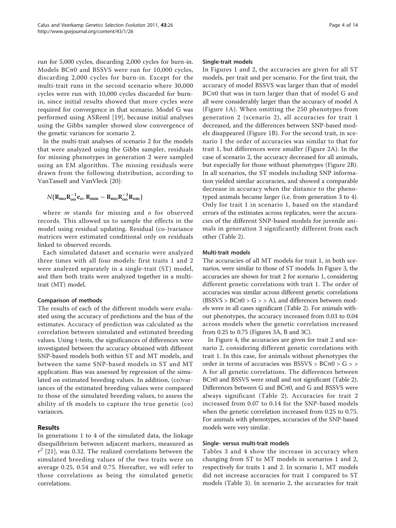run for 5,000 cycles, discarding 2,000 cycles for burn-in. Models BCπ0 and BSSVS were run for 10,000 cycles, discarding 2,000 cycles for burn-in. Except for the multi-trait runs in the second scenario where 30,000 cycles were run with 10,000 cycles discarded for burnin, since initial results showed that more cycles were required for convergence in that scenario. Model G was performed using ASReml [[19](#page-12-0)], because initial analyses using the Gibbs sampler showed slow convergence of the genetic variances for scenario 2.

In the multi-trait analyses of scenario 2 for the models that were analyzed using the Gibbs sampler, residuals for missing phenotypes in generation 2 were sampled using an EM algorithm. The missing residuals were drawn from the following distribution, according to VanTassell and VanVleck [\[20](#page-12-0)]:

$$
N(R_{\rm mo}R_{\rm oo}^{-1}e_{\rm o},R_{\rm mm}-R_{\rm mo}R_{\rm oo}^{-1}R_{\rm om})
$$

where  $m$  stands for missing and  $o$  for observed records. This allowed us to sample the effects in the model using residual updating. Residual (co-)variance matrices were estimated conditional only on residuals linked to observed records.

Each simulated dataset and scenario were analyzed three times with all four models: first traits 1 and 2 were analyzed separately in a single-trait (ST) model, and then both traits were analyzed together in a multitrait (MT) model.

## Comparison of methods

The results of each of the different models were evaluated using the accuracy of predictions and the bias of the estimates. Accuracy of prediction was calculated as the correlation between simulated and estimated breeding values. Using t-tests, the significances of differences were investigated between the accuracy obtained with different SNP-based models both within ST and MT models, and between the same SNP-based models in ST and MT application. Bias was assessed by regression of the simulated on estimated breeding values. In addition, (co)variances of the estimated breeding values were compared to those of the simulated breeding values, to assess the ability of th models to capture the true genetic (co) variances.

## Results

In generations 1 to 4 of the simulated data, the linkage disequilibrium between adjacent markers, measured as  $r^2$  [[21\]](#page-12-0), was 0.32. The realized correlations between the simulated breeding values of the two traits were on average 0.25, 0.54 and 0.75. Hereafter, we will refer to those correlations as being the simulated genetic correlations.

## Single-trait models

In Figures [1](#page-4-0) and [2](#page-5-0), the accuracies are given for all ST models, per trait and per scenario. For the first trait, the accuracy of model BSSVS was larger than that of model BCπ0 that was in turn larger than that of model G and all were considerably larger than the accuracy of model A (Figure [1A](#page-4-0)). When omitting the 250 phenotypes from generation 2 (scenario 2), all accuracies for trait 1 decreased, and the differences between SNP-based models disappeared (Figure [1B\)](#page-4-0). For the second trait, in scenario 1 the order of accuracies was similar to that for trait 1, but differences were smaller (Figure [2A\)](#page-5-0). In the case of scenario 2, the accuracy decreased for all animals, but especially for those without phenotypes (Figure [2B](#page-5-0)). In all scenarios, the ST models including SNP information yielded similar accuracies, and showed a comparable decrease in accuracy when the distance to the phenotyped animals became larger (i.e. from generation 3 to 4). Only for trait 1 in scenario 1, based on the standard errors of the estimates across replicates, were the accuracies of the different SNP-based models for juvenile animals in generation 3 significantly different from each other (Table [2\)](#page-6-0).

## Multi-trait models

The accuracies of all MT models for trait 1, in both scenarios, were similar to those of ST models. In Figure [3](#page-7-0), the accuracies are shown for trait 2 for scenario 1, considering different genetic correlations with trait 1. The order of accuracies was similar across different genetic correlations  $(BSSVS > BC\pi0 > G > A)$ , and differences between models were in all cases significant (Table [2\)](#page-6-0). For animals without phenotypes, the accuracy increased from 0.03 to 0.04 across models when the genetic correlation increased from 0.25 to 0.75 (Figures [3A, B](#page-7-0) and [3C\)](#page-7-0).

In Figure [4,](#page-8-0) the accuracies are given for trait 2 and scenario 2, considering different genetic correlations with trait 1. In this case, for animals without phenotypes the order in terms of accuracies was  $BSSVS > BCπ0 > G>$ A for all genetic correlations. The differences between BCπ0 and BSSVS were small and not significant (Table [2](#page-6-0)). Differences between G and BCπ0, and G and BSSVS were always significant (Table [2](#page-6-0)). Accuracies for trait 2 increased from 0.07 to 0.14 for the SNP-based models when the genetic correlation increased from 0.25 to 0.75. For animals with phenotypes, accuracies of the SNP-based models were very similar.

## Single- versus multi-trait models

Tables [3](#page-9-0) and [4](#page-9-0) show the increase in accuracy when changing from ST to MT models in scenarios 1 and 2, respectively for traits 1 and 2. In scenario 1, MT models did not increase accuracies for trait 1 compared to ST models (Table [3](#page-9-0)). In scenario 2, the accuracies for trait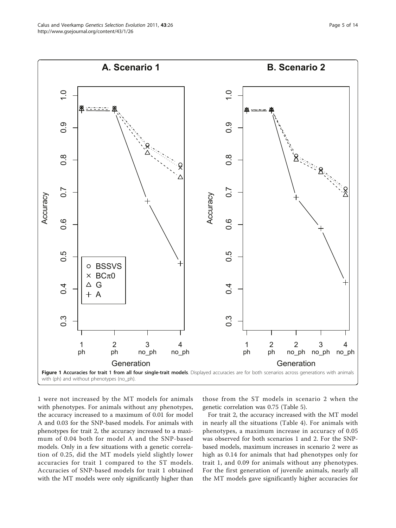<span id="page-4-0"></span>

1 were not increased by the MT models for animals with phenotypes. For animals without any phenotypes, the accuracy increased to a maximum of 0.01 for model A and 0.03 for the SNP-based models. For animals with phenotypes for trait 2, the accuracy increased to a maximum of 0.04 both for model A and the SNP-based models. Only in a few situations with a genetic correlation of 0.25, did the MT models yield slightly lower accuracies for trait 1 compared to the ST models. Accuracies of SNP-based models for trait 1 obtained with the MT models were only significantly higher than

those from the ST models in scenario 2 when the genetic correlation was 0.75 (Table [5\)](#page-10-0).

For trait 2, the accuracy increased with the MT model in nearly all the situations (Table [4\)](#page-9-0). For animals with phenotypes, a maximum increase in accuracy of 0.05 was observed for both scenarios 1 and 2. For the SNPbased models, maximum increases in scenario 2 were as high as 0.14 for animals that had phenotypes only for trait 1, and 0.09 for animals without any phenotypes. For the first generation of juvenile animals, nearly all the MT models gave significantly higher accuracies for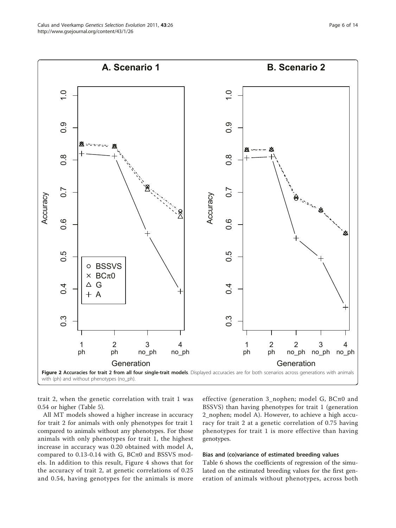<span id="page-5-0"></span>

trait 2, when the genetic correlation with trait 1 was 0.54 or higher (Table [5](#page-10-0)).

All MT models showed a higher increase in accuracy for trait 2 for animals with only phenotypes for trait 1 compared to animals without any phenotypes. For those animals with only phenotypes for trait 1, the highest increase in accuracy was 0.20 obtained with model A, compared to 0.13-0.14 with G, BCπ0 and BSSVS models. In addition to this result, Figure [4](#page-8-0) shows that for the accuracy of trait 2, at genetic correlations of 0.25 and 0.54, having genotypes for the animals is more effective (generation 3\_nophen; model G, BCπ0 and BSSVS) than having phenotypes for trait 1 (generation 2\_nophen; model A). However, to achieve a high accuracy for trait 2 at a genetic correlation of 0.75 having phenotypes for trait 1 is more effective than having genotypes.

## Bias and (co)variance of estimated breeding values

Table [6](#page-10-0) shows the coefficients of regression of the simulated on the estimated breeding values for the first generation of animals without phenotypes, across both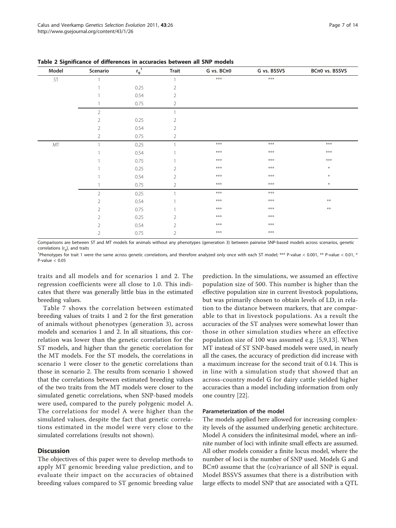| Model | Scenario       | $r_g^{-1}$ | <b>Trait</b>   | G vs. BCπ0 | G vs. BSSVS | BCπ0 vs. BSSVS         |
|-------|----------------|------------|----------------|------------|-------------|------------------------|
| ST    |                |            | $\mathbf{1}$   | $***$      | $***$       |                        |
|       |                | 0.25       | $\overline{2}$ |            |             |                        |
|       |                | 0.54       | $\overline{2}$ |            |             |                        |
|       |                | 0.75       | $\overline{2}$ |            |             |                        |
|       | $\overline{2}$ |            | 1              |            |             |                        |
|       | $\overline{2}$ | 0.25       | $\overline{2}$ |            |             |                        |
|       | $\overline{2}$ | 0.54       | $\overline{2}$ |            |             |                        |
|       | $\overline{2}$ | 0.75       | $\overline{2}$ |            |             |                        |
| MT    |                | 0.25       | $\mathbf{1}$   | $***$      | $***$       | $***$                  |
|       |                | 0.54       |                | $***$      | $***$       | $***$                  |
|       |                | 0.75       |                | $***$      | $***$       | $***$                  |
|       |                | 0.25       | $\overline{2}$ | $***$      | $***$       | $\ast$                 |
|       |                | 0.54       | $\overline{2}$ | $***$      | $***$       | $\ast$                 |
|       |                | 0.75       | $\overline{2}$ | $***$      | $***$       | $\ast$                 |
|       | $\overline{2}$ | 0.25       |                | $***$      | $***$       |                        |
|       | $\overline{2}$ | 0.54       |                | $***$      | $***$       | $***$                  |
|       | $\overline{2}$ | 0.75       |                | $***$      | $***$       | $\pmb{\ast}\pmb{\ast}$ |
|       | $\overline{2}$ | 0.25       | $\overline{2}$ | $***$      | $***$       |                        |
|       | $\overline{2}$ | 0.54       | $\overline{2}$ | $***$      | $***$       |                        |
|       | $\overline{2}$ | 0.75       | $\overline{2}$ | $***$      | $***$       |                        |

<span id="page-6-0"></span>Table 2 Significance of differences in accuracies between all SNP models

Comparisons are between ST and MT models for animals without any phenotypes (generation 3) between pairwise SNP-based models across scenarios, genetic correlations  $(r_{\alpha})$ , and traits

<sup>1</sup>Phenotypes for trait 1 were the same across genetic correlations, and therefore analyzed only once with each ST model; \*\*\* P-value < 0.001, \*\* P-value < 0.001, \*\* P-value < 0.05

traits and all models and for scenarios 1 and 2. The regression coefficients were all close to 1.0. This indicates that there was generally little bias in the estimated breeding values.

Table [7](#page-11-0) shows the correlation between estimated breeding values of traits 1 and 2 for the first generation of animals without phenotypes (generation 3), across models and scenarios 1 and 2. In all situations, this correlation was lower than the genetic correlation for the ST models, and higher than the genetic correlation for the MT models. For the ST models, the correlations in scenario 1 were closer to the genetic correlations than those in scenario 2. The results from scenario 1 showed that the correlations between estimated breeding values of the two traits from the MT models were closer to the simulated genetic correlations, when SNP-based models were used, compared to the purely polygenic model A. The correlations for model A were higher than the simulated values, despite the fact that genetic correlations estimated in the model were very close to the simulated correlations (results not shown).

### **Discussion**

The objectives of this paper were to develop methods to apply MT genomic breeding value prediction, and to evaluate their impact on the accuracies of obtained breeding values compared to ST genomic breeding value

prediction. In the simulations, we assumed an effective population size of 500. This number is higher than the effective population size in current livestock populations, but was primarily chosen to obtain levels of LD, in relation to the distance between markers, that are comparable to that in livestock populations. As a result the accuracies of the ST analyses were somewhat lower than those in other simulation studies where an effective population size of 100 was assumed e.g. [[5,9,13](#page-12-0)]. When MT instead of ST SNP-based models were used, in nearly all the cases, the accuracy of prediction did increase with a maximum increase for the second trait of 0.14. This is in line with a simulation study that showed that an across-country model G for dairy cattle yielded higher accuracies than a model including information from only one country [\[22](#page-12-0)].

#### Parameterization of the model

The models applied here allowed for increasing complexity levels of the assumed underlying genetic architecture. Model A considers the infinitesimal model, where an infinite number of loci with infinite small effects are assumed. All other models consider a finite locus model, where the number of loci is the number of SNP used. Models G and BCπ0 assume that the (co)variance of all SNP is equal. Model BSSVS assumes that there is a distribution with large effects to model SNP that are associated with a QTL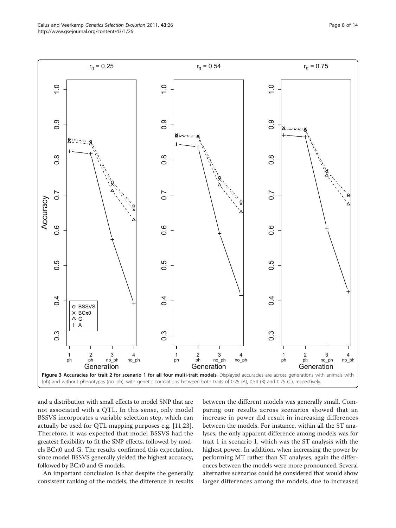and a distribution with small effects to model SNP that are not associated with a QTL. In this sense, only model BSSVS incorporates a variable selection step, which can actually be used for QTL mapping purposes e.g. [[11,23](#page-12-0)]. Therefore, it was expected that model BSSVS had the greatest flexibility to fit the SNP effects, followed by models BCπ0 and G. The results confirmed this expectation, since model BSSVS generally yielded the highest accuracy, followed by BCπ0 and G models.

An important conclusion is that despite the generally consistent ranking of the models, the difference in results between the different models was generally small. Comparing our results across scenarios showed that an increase in power did result in increasing differences between the models. For instance, within all the ST analyses, the only apparent difference among models was for trait 1 in scenario 1, which was the ST analysis with the highest power. In addition, when increasing the power by performing MT rather than ST analyses, again the differences between the models were more pronounced. Several alternative scenarios could be considered that would show larger differences among the models, due to increased

<span id="page-7-0"></span>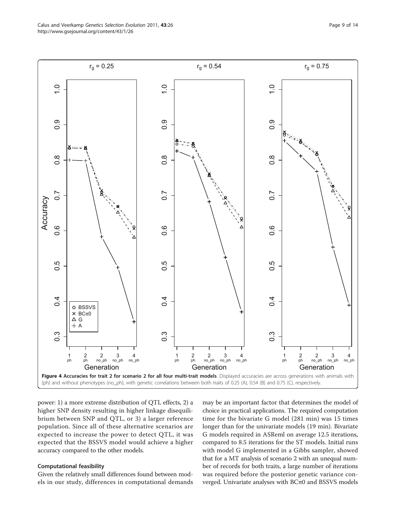power: 1) a more extreme distribution of QTL effects, 2) a higher SNP density resulting in higher linkage disequilibrium between SNP and QTL, or 3) a larger reference population. Since all of these alternative scenarios are expected to increase the power to detect QTL, it was expected that the BSSVS model would achieve a higher accuracy compared to the other models.

#### Computational feasibility

Given the relatively small differences found between models in our study, differences in computational demands

may be an important factor that determines the model of choice in practical applications. The required computation time for the bivariate G model (281 min) was 15 times longer than for the univariate models (19 min). Bivariate G models required in ASReml on average 12.5 iterations, compared to 8.5 iterations for the ST models. Initial runs with model G implemented in a Gibbs sampler, showed that for a MT analysis of scenario 2 with an unequal number of records for both traits, a large number of iterations was required before the posterior genetic variance converged. Univariate analyses with BCπ0 and BSSVS models

<span id="page-8-0"></span>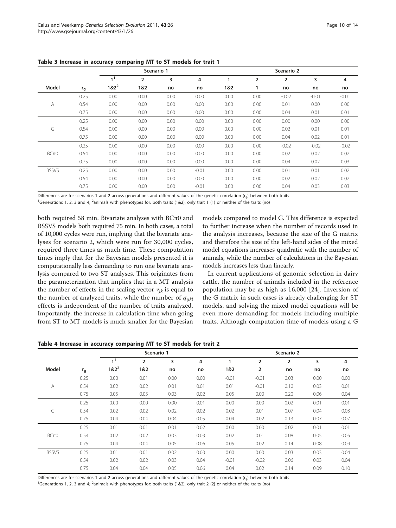|                  |         |                | Scenario 1     |      |         | Scenario 2 |                |                |         |         |  |
|------------------|---------|----------------|----------------|------|---------|------------|----------------|----------------|---------|---------|--|
|                  |         | 1 <sup>1</sup> | $\overline{2}$ | 3    | 4       | 1          | $\overline{2}$ | $\overline{2}$ | 3       | 4       |  |
| Model            | $r_{q}$ | $182^2$        | 1&2            | no   | no      | 1&2        | 1              | no             | no      | no      |  |
|                  | 0.25    | 0.00           | 0.00           | 0.00 | 0.00    | 0.00       | 0.00           | $-0.02$        | $-0.01$ | $-0.01$ |  |
| Α                | 0.54    | 0.00           | 0.00           | 0.00 | 0.00    | 0.00       | 0.00           | 0.01           | 0.00    | 0.00    |  |
|                  | 0.75    | 0.00           | 0.00           | 0.00 | 0.00    | 0.00       | 0.00           | 0.04           | 0.01    | 0.01    |  |
|                  | 0.25    | 0.00           | 0.00           | 0.00 | 0.00    | 0.00       | 0.00           | 0.00           | 0.00    | 0.00    |  |
| G                | 0.54    | 0.00           | 0.00           | 0.00 | 0.00    | 0.00       | 0.00           | 0.02           | 0.01    | 0.01    |  |
|                  | 0.75    | 0.00           | 0.00           | 0.00 | 0.00    | 0.00       | 0.00           | 0.04           | 0.02    | 0.01    |  |
|                  | 0.25    | 0.00           | 0.00           | 0.00 | 0.00    | 0.00       | 0.00           | $-0.02$        | $-0.02$ | $-0.02$ |  |
| BC <sub>π0</sub> | 0.54    | 0.00           | 0.00           | 0.00 | 0.00    | 0.00       | 0.00           | 0.02           | 0.02    | 0.02    |  |
|                  | 0.75    | 0.00           | 0.00           | 0.00 | 0.00    | 0.00       | 0.00           | 0.04           | 0.02    | 0.03    |  |
| <b>BSSVS</b>     | 0.25    | 0.00           | 0.00           | 0.00 | $-0.01$ | 0.00       | 0.00           | 0.01           | 0.01    | 0.02    |  |
|                  | 0.54    | 0.00           | 0.00           | 0.00 | 0.00    | 0.00       | 0.00           | 0.02           | 0.02    | 0.02    |  |
|                  | 0.75    | 0.00           | 0.00           | 0.00 | $-0.01$ | 0.00       | 0.00           | 0.04           | 0.03    | 0.03    |  |

<span id="page-9-0"></span>Table 3 Increase in accuracy comparing MT to ST models for trait 1

Differences are for scenarios 1 and 2 across generations and different values of the genetic correlation ( $r_a$ ) between both traits

<sup>1</sup>Generations 1, 2, 3 and 4; <sup>2</sup>animals with phenotypes for: both traits (1&2), only trait 1 (1) or neither of the traits (no)

both required 58 min. Bivariate analyses with BCπ0 and BSSVS models both required 75 min. In both cases, a total of 10,000 cycles were run, implying that the bivariate analyses for scenario 2, which were run for 30,000 cycles, required three times as much time. These computation times imply that for the Bayesian models presented it is computationally less demanding to run one bivariate analysis compared to two ST analyses. This originates from the parameterization that implies that in a MT analysis the number of effects in the scaling vector  $v_{ik}$  is equal to the number of analyzed traits, while the number of  $q_{ijkl}$ effects is independent of the number of traits analyzed. Importantly, the increase in calculation time when going from ST to MT models is much smaller for the Bayesian models compared to model G. This difference is expected to further increase when the number of records used in the analysis increases, because the size of the G matrix and therefore the size of the left-hand sides of the mixed model equations increases quadratic with the number of animals, while the number of calculations in the Bayesian models increases less than linearly.

In current applications of genomic selection in dairy cattle, the number of animals included in the reference population may be as high as 16,000 [\[24](#page-12-0)]. Inversion of the G matrix in such cases is already challenging for ST models, and solving the mixed model equations will be even more demanding for models including multiple traits. Although computation time of models using a G

Table 4 Increase in accuracy comparing MT to ST models for trait 2

|                  |         | Scenario 1 |                |      |      | Scenario 2 |         |      |      |      |
|------------------|---------|------------|----------------|------|------|------------|---------|------|------|------|
|                  |         | $1 -$      | $\overline{2}$ | 3    | 4    | и          | 2       | 2    | 3    | 4    |
| Model            | $r_{q}$ | $182^2$    | 1&2            | no   | no   | 1&2        | 2       | no   | no   | no   |
|                  | 0.25    | 0.00       | 0.01           | 0.00 | 0.00 | $-0.01$    | $-0.01$ | 0.03 | 0.00 | 0.00 |
| Α                | 0.54    | 0.02       | 0.02           | 0.01 | 0.01 | 0.01       | $-0.01$ | 0.10 | 0.03 | 0.01 |
|                  | 0.75    | 0.05       | 0.05           | 0.03 | 0.02 | 0.05       | 0.00    | 0.20 | 0.06 | 0.04 |
|                  | 0.25    | 0.00       | 0.00           | 0.00 | 0.01 | 0.00       | 0.00    | 0.02 | 0.01 | 0.01 |
| G                | 0.54    | 0.02       | 0.02           | 0.02 | 0.02 | 0.02       | 0.01    | 0.07 | 0.04 | 0.03 |
|                  | 0.75    | 0.04       | 0.04           | 0.04 | 0.05 | 0.04       | 0.02    | 0.13 | 0.07 | 0.07 |
|                  | 0.25    | 0.01       | 0.01           | 0.01 | 0.02 | 0.00       | 0.00    | 0.02 | 0.01 | 0.01 |
| BC <sub>π0</sub> | 0.54    | 0.02       | 0.02           | 0.03 | 0.03 | 0.02       | 0.01    | 0.08 | 0.05 | 0.05 |
|                  | 0.75    | 0.04       | 0.04           | 0.05 | 0.06 | 0.05       | 0.02    | 0.14 | 0.08 | 0.09 |
| <b>BSSVS</b>     | 0.25    | 0.01       | 0.01           | 0.02 | 0.03 | 0.00       | 0.00    | 0.03 | 0.03 | 0.04 |
|                  | 0.54    | 0.02       | 0.02           | 0.03 | 0.04 | $-0.01$    | $-0.02$ | 0.06 | 0.03 | 0.04 |
|                  | 0.75    | 0.04       | 0.04           | 0.05 | 0.06 | 0.04       | 0.02    | 0.14 | 0.09 | 0.10 |

Differences are for scenarios 1 and 2 across generations and different values of the genetic correlation  $(r_0)$  between both traits <sup>1</sup>Generations 1, 2, 3 and 4; <sup>2</sup>animals with phenotypes for: both traits (1&2), only trait 2 (2) or neither of the traits (no)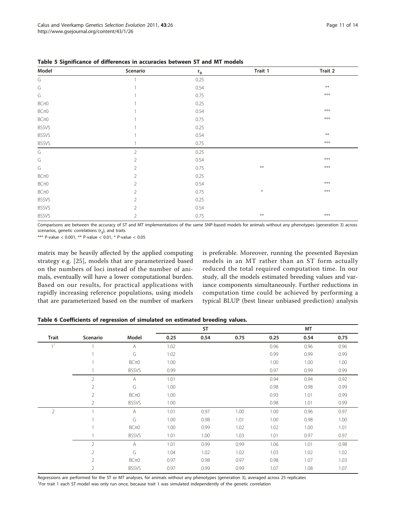| Model            | Scenario       | $r_g$ | Trait 1 | Trait 2 |
|------------------|----------------|-------|---------|---------|
| G                |                | 0.25  |         |         |
| G                |                | 0.54  |         | $***$   |
| G                |                | 0.75  |         | $***$   |
| BC <sub>π0</sub> |                | 0.25  |         |         |
| $BC_{T}O$        |                | 0.54  |         | $***$   |
| BC <sub>π0</sub> |                | 0.75  |         | $***$   |
| <b>BSSVS</b>     |                | 0.25  |         |         |
| <b>BSSVS</b>     |                | 0.54  |         | $***$   |
| <b>BSSVS</b>     |                | 0.75  |         | $***$   |
| G                | $\overline{2}$ | 0.25  |         |         |
| G                | $\overline{2}$ | 0.54  |         | $***$   |
| G                | $\overline{2}$ | 0.75  | $***$   | $***$   |
| BC <sub>π0</sub> | $\overline{2}$ | 0.25  |         |         |
| $BC_{T}O$        | $\overline{2}$ | 0.54  |         | $***$   |
| BC <sub>π0</sub> | $\overline{2}$ | 0.75  | $\ast$  | $***$   |
| <b>BSSVS</b>     | $\overline{2}$ | 0.25  |         |         |
| <b>BSSVS</b>     | $\overline{2}$ | 0.54  |         |         |
| <b>BSSVS</b>     | $\overline{2}$ | 0.75  | $***$   | $***$   |

<span id="page-10-0"></span>Table 5 Significance of differences in accuracies between ST and MT models

Comparisons are between the accuracy of ST and MT implementations of the same SNP-based models for animals without any phenotypes (generation 3) across scenarios, genetic correlations  $(r_a)$ , and traits

\*\*\* P-value < 0.001, \*\* P-value < 0.01, \* P-value < 0.05

matrix may be heavily affected by the applied computing strategy e.g. [[25](#page-12-0)], models that are parameterized based on the numbers of loci instead of the number of animals, eventually will have a lower computational burden. Based on our results, for practical applications with rapidly increasing reference populations, using models that are parameterized based on the number of markers is preferable. Moreover, running the presented Bayesian models in an MT rather than an ST form actually reduced the total required computation time. In our study, all the models estimated breeding values and variance components simultaneously. Further reductions in computation time could be achieved by performing a typical BLUP (best linear unbiased prediction) analysis

Table 6 Coefficients of regression of simulated on estimated breeding values.

|                |                |                  |      | <b>ST</b> |      |      | MT   |      |
|----------------|----------------|------------------|------|-----------|------|------|------|------|
| <b>Trait</b>   | Scenario       | Model            | 0.25 | 0.54      | 0.75 | 0.25 | 0.54 | 0.75 |
| 1 <sup>1</sup> |                | A                | 1.02 |           |      | 0.96 | 0.96 | 0.96 |
|                |                | G                | 1.02 |           |      | 0.99 | 0.99 | 0.99 |
|                |                | BC <sub>π0</sub> | 1.00 |           |      | 1.00 | 1.00 | 1.00 |
|                |                | <b>BSSVS</b>     | 0.99 |           |      | 0.97 | 0.99 | 0.99 |
|                | $\overline{2}$ | A                | 1.01 |           |      | 0.94 | 0.94 | 0.92 |
|                | $\overline{2}$ | G                | 1.00 |           |      | 0.98 | 0.98 | 0.99 |
|                | $\overline{2}$ | BC <sub>π0</sub> | 1.00 |           |      | 0.93 | 1.01 | 0.99 |
|                | 2              | <b>BSSVS</b>     | 1.00 |           |      | 0.98 | 1.01 | 0.99 |
| $\overline{2}$ |                | $\wedge$         | 1.01 | 0.97      | 1.00 | 1.00 | 0.96 | 0.97 |
|                |                | G                | 1.00 | 0.98      | 1.01 | 1.00 | 0.98 | 1.00 |
|                |                | BC <sub>π0</sub> | 1.00 | 0.99      | 1.02 | 1.02 | 1.00 | 1.01 |
|                |                | <b>BSSVS</b>     | 1.01 | 1.00      | 1.03 | 1.01 | 0.97 | 0.97 |
|                | $\overline{2}$ | A                | 1.01 | 0.99      | 0.99 | 1.06 | 1.01 | 0.98 |
|                | $\overline{2}$ | G                | 1.04 | 1.02      | 1.02 | 1.03 | 1.02 | 1.02 |
|                | $\overline{2}$ | BC <sub>π0</sub> | 0.97 | 0.98      | 0.97 | 0.98 | 1.07 | 1.03 |
|                | $\overline{2}$ | <b>BSSVS</b>     | 0.97 | 0.99      | 0.99 | 1.07 | 1.08 | 1.07 |

Regressions are performed for the ST or MT analyses, for animals without any phenotypes (generation 3), averaged across 25 replicates <sup>1</sup>For trait 1 each ST model was only run once, because trait 1 was simulated independently of the genetic correlation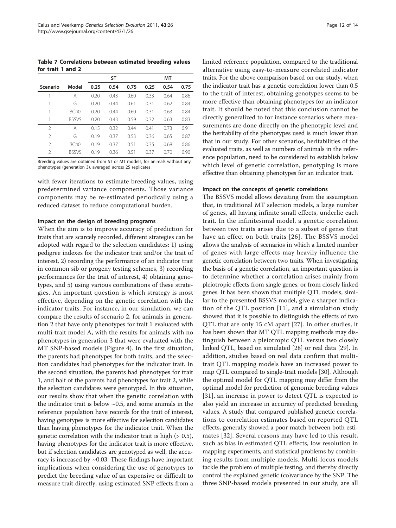<span id="page-11-0"></span>Table 7 Correlations between estimated breeding values for trait 1 and 2

|                |              |      | <b>ST</b> |      |      | MT   |      |
|----------------|--------------|------|-----------|------|------|------|------|
| Scenario       | Model        | 0.25 | 0.54      | 0.75 | 0.25 | 0.54 | 0.75 |
|                | А            | 0.20 | 0.43      | 0.60 | 0.33 | 0.64 | 0.86 |
|                | G            | 0.20 | 0.44      | 0.61 | 0.31 | 0.62 | 0.84 |
| 1              | BCT0         | 0.20 | 0.44      | 0.60 | 0.31 | 0.63 | 0.84 |
| 1              | <b>BSSVS</b> | 0.20 | 0.43      | 0.59 | 0.32 | 0.63 | 0.83 |
| $\mathfrak{D}$ | А            | 0.15 | 0.32      | 0.44 | 0.41 | 0.73 | 0.91 |
| $\overline{2}$ | G            | 0.19 | 0.37      | 0.53 | 0.36 | 0.65 | 0.87 |
| $\overline{2}$ | BCT0         | 0.19 | 0.37      | 0.51 | 0.35 | 0.68 | 0.86 |
| $\mathcal{P}$  | <b>BSSVS</b> | 0.19 | 0.36      | 0.51 | 0.37 | 0.70 | 0.90 |

Breeding values are obtained from ST or MT models, for animals without any phenotypes (generation 3), averaged across 25 replicates

with fewer iterations to estimate breeding values, using predetermined variance components. Those variance components may be re-estimated periodically using a reduced dataset to reduce computational burden.

#### Impact on the design of breeding programs

When the aim is to improve accuracy of prediction for traits that are scarcely recorded, different strategies can be adopted with regard to the selection candidates: 1) using pedigree indexes for the indicator trait and/or the trait of interest, 2) recording the performance of an indicator trait in common sib or progeny testing schemes, 3) recording performances for the trait of interest, 4) obtaining genotypes, and 5) using various combinations of these strategies. An important question is which strategy is most effective, depending on the genetic correlation with the indicator traits. For instance, in our simulation, we can compare the results of scenario 2, for animals in generation 2 that have only phenotypes for trait 1 evaluated with multi-trait model A, with the results for animals with no phenotypes in generation 3 that were evaluated with the MT SNP-based models (Figure [4](#page-8-0)). In the first situation, the parents had phenotypes for both traits, and the selection candidates had phenotypes for the indicator trait. In the second situation, the parents had phenotypes for trait 1, and half of the parents had phenotypes for trait 2, while the selection candidates were genotyped. In this situation, our results show that when the genetic correlation with the indicator trait is below  $\sim$ 0.5, and some animals in the reference population have records for the trait of interest, having genotypes is more effective for selection candidates than having phenotypes for the indicator trait. When the genetic correlation with the indicator trait is high  $($  > 0.5 $)$ , having phenotypes for the indicator trait is more effective, but if selection candidates are genotyped as well, the accuracy is increased by ~0.03. These findings have important implications when considering the use of genotypes to predict the breeding value of an expensive or difficult to measure trait directly, using estimated SNP effects from a limited reference population, compared to the traditional alternative using easy-to-measure correlated indicator traits. For the above comparison based on our study, when the indicator trait has a genetic correlation lower than 0.5 to the trait of interest, obtaining genotypes seems to be more effective than obtaining phenotypes for an indicator trait. It should be noted that this conclusion cannot be directly generalized to for instance scenarios where measurements are done directly on the phenotypic level and the heritability of the phenotypes used is much lower than that in our study. For other scenarios, heritabilities of the evaluated traits, as well as numbers of animals in the reference population, need to be considered to establish below which level of genetic correlation, genotyping is more effective than obtaining phenotypes for an indicator trait.

#### Impact on the concepts of genetic correlations

The BSSVS model allows deviating from the assumption that, in traditional MT selection models, a large number of genes, all having infinite small effects, underlie each trait. In the infinitesimal model, a genetic correlation between two traits arises due to a subset of genes that have an effect on both traits [[26\]](#page-12-0). The BSSVS model allows the analysis of scenarios in which a limited number of genes with large effects may heavily influence the genetic correlation between two traits. When investigating the basis of a genetic correlation, an important question is to determine whether a correlation arises mainly from pleiotropic effects from single genes, or from closely linked genes. It has been shown that multiple QTL models, similar to the presented BSSVS model, give a sharper indication of the QTL position [[11](#page-12-0)], and a simulation study showed that it is possible to distinguish the effects of two QTL that are only 15 cM apart [\[27](#page-12-0)]. In other studies, it has been shown that MT QTL mapping methods may distinguish between a pleiotropic QTL versus two closely linked QTL, based on simulated [[28\]](#page-12-0) or real data [[29\]](#page-13-0). In addition, studies based on real data confirm that multitrait QTL mapping models have an increased power to map QTL compared to single-trait models [[30](#page-13-0)]. Although the optimal model for QTL mapping may differ from the optimal model for prediction of genomic breeding values [[31](#page-13-0)], an increase in power to detect QTL is expected to also yield an increase in accuracy of predicted breeding values. A study that compared published genetic correlations to correlation estimates based on reported QTL effects, generally showed a poor match between both estimates [[32](#page-13-0)]. Several reasons may have led to this result, such as bias in estimated QTL effects, low resolution in mapping experiments, and statistical problems by combining results from multiple models. Multi-locus models tackle the problem of multiple testing, and thereby directly control the explained genetic (co)variance by the SNP. The three SNP-based models presented in our study, are all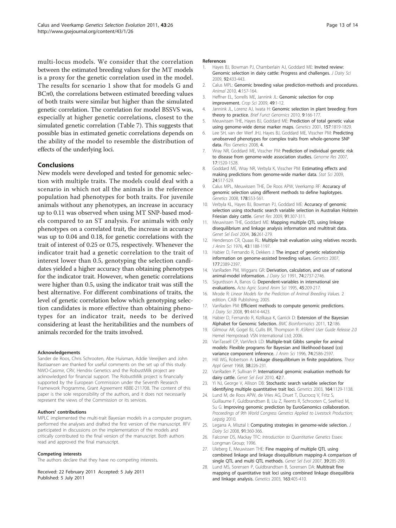<span id="page-12-0"></span>multi-locus models. We consider that the correlation between the estimated breeding values for the MT models is a proxy for the genetic correlation used in the model. The results for scenario 1 show that for models G and BCπ0, the correlations between estimated breeding values of both traits were similar but higher than the simulated genetic correlation. The correlation for model BSSVS was, especially at higher genetic correlations, closest to the simulated genetic correlation (Table [7\)](#page-11-0). This suggests that possible bias in estimated genetic correlations depends on the ability of the model to resemble the distribution of effects of the underlying loci.

#### Conclusions

New models were developed and tested for genomic selection with multiple traits. The models could deal with a scenario in which not all the animals in the reference population had phenotypes for both traits. For juvenile animals without any phenotypes, an increase in accuracy up to 0.11 was observed when using MT SNP-based models compared to an ST analysis. For animals with only phenotypes on a correlated trait, the increase in accuracy was up to 0.04 and 0.18, for genetic correlations with the trait of interest of 0.25 or 0.75, respectively. Whenever the indicator trait had a genetic correlation to the trait of interest lower than 0.5, genotyping the selection candidates yielded a higher accuracy than obtaining phenotypes for the indicator trait. However, when genetic correlations were higher than 0.5, using the indicator trait was still the best alternative. For different combinations of traits, the level of genetic correlation below which genotyping selection candidates is more effective than obtaining phenotypes for an indicator trait, needs to be derived considering at least the heritabilities and the numbers of animals recorded for the traits involved.

#### Acknowledgements

Sander de Roos, Chris Schrooten, Abe Huisman, Addie Vereijken and John Bastiaansen are thanked for useful comments on the set up of this study. NWO-Casimir, CRV, Hendrix Genetics and the RobustMilk project are acknowledged for financial support. The RobustMilk project is financially supported by the European Commission under the Seventh Research Framework Programme, Grant Agreement KBBE-211708. The content of this paper is the sole responsibility of the authors, and it does not necessarily represent the views of the Commission or its services.

#### Authors' contributions

MPLC implemented the multi-trait Bayesian models in a computer program, performed the analyses and drafted the first version of the manuscript. RFV participated in discussions on the implementation of the models and critically contributed to the final version of the manuscript. Both authors read and approved the final manuscript.

#### Competing interests

The authors declare that they have no competing interests.

Received: 22 February 2011 Accepted: 5 July 2011 Published: 5 July 2011

#### References

- 1. Hayes BJ, Bowman PJ, Chamberlain AJ, Goddard ME: [Invited review:](http://www.ncbi.nlm.nih.gov/pubmed/19164653?dopt=Abstract) [Genomic selection in dairy cattle: Progress and challenges.](http://www.ncbi.nlm.nih.gov/pubmed/19164653?dopt=Abstract) J Dairy Sci 2009, 92:433-443.
- 2. Calus MPL: Genomic breeding value prediction-methods and procedures. Animal 2010, 4:157-164
- 3. Heffner EL, Sorrells ME, Jannink JL: Genomic selection for crop improvement. Crop Sci 2009, 49:1-12.
- 4. Jannink JL, Lorenz AJ, Iwata H: [Genomic selection in plant breeding: from](http://www.ncbi.nlm.nih.gov/pubmed/20156985?dopt=Abstract) [theory to practice.](http://www.ncbi.nlm.nih.gov/pubmed/20156985?dopt=Abstract) Brief Funct Genomics 2010, 9:166-177
- 5. Meuwissen THE, Hayes BJ, Goddard ME: [Prediction of total genetic value](http://www.ncbi.nlm.nih.gov/pubmed/11290733?dopt=Abstract) [using genome-wide dense marker maps.](http://www.ncbi.nlm.nih.gov/pubmed/11290733?dopt=Abstract) Genetics 2001, 157:1819-1829.
- 6. Lee SH, van der Werf JHJ, Hayes BJ, Goddard ME, Visscher PM: Predicting unobserved phenotypes for complex traits from whole-genome SNP data. Plos Genetics 2008, 4.
- 7. Wray NR, Goddard ME, Visscher PM: [Prediction of individual genetic risk](http://www.ncbi.nlm.nih.gov/pubmed/17785532?dopt=Abstract) [to disease from genome-wide association studies.](http://www.ncbi.nlm.nih.gov/pubmed/17785532?dopt=Abstract) Genome Res 2007, 17:1520-1528.
- 8. Goddard ME, Wray NR, Verbyla K, Visscher PM: Estimating effects and making predictions from genome-wide marker data. Stat Sci 2009, 24:517-529.
- 9. Calus MPL, Meuwissen THE, De Roos APW, Veerkamp RF: [Accuracy of](http://www.ncbi.nlm.nih.gov/pubmed/18202394?dopt=Abstract) [genomic selection using different methods to define haplotypes.](http://www.ncbi.nlm.nih.gov/pubmed/18202394?dopt=Abstract) Genetics 2008, 178:553-561.
- 10. Verbyla KL, Hayes BJ, Bowman PJ, Goddard ME: Accuracy of genomic selection using stochastic search variable selection in Australian Holstein Friesian dairy cattle. Genet Res 2009, 91:307-311.
- 11. Meuwissen THE, Goddard ME: [Mapping multiple QTL using linkage](http://www.ncbi.nlm.nih.gov/pubmed/15107266?dopt=Abstract) [disequilibrium and linkage analysis information and multitrait data.](http://www.ncbi.nlm.nih.gov/pubmed/15107266?dopt=Abstract) Genet Sel Evol 2004, 36:261-279.
- 12. Henderson CR, Quaas RL: Multiple trait evaluation using relatives records. J Anim Sci 1976, 43:1188-1197.
- 13. Habier D, Fernando R, Dekkers J: [The impact of genetic relationship](http://www.ncbi.nlm.nih.gov/pubmed/18073436?dopt=Abstract) [information on genome-assisted breeding values.](http://www.ncbi.nlm.nih.gov/pubmed/18073436?dopt=Abstract) Genetics 2007, 177:2389-2397.
- 14. VanRaden PM, Wiggans GR: [Derivation, calculation, and use of national](http://www.ncbi.nlm.nih.gov/pubmed/1918547?dopt=Abstract) [animal-model information.](http://www.ncbi.nlm.nih.gov/pubmed/1918547?dopt=Abstract) J Dairy Sci 1991, 74:2737-2746.
- 15. Sigurdsson A, Banos G: Dependent-variables in international sire evaluations. Acta Agric Scand Anim Sci 1995, 45:209-217.
- 16. Mrode R: Linear Models for the Prediction of Animal Breeding Values. 2 edition. CABI Publishing; 2005.
- 17. VanRaden PM: [Efficient methods to compute genomic predictions.](http://www.ncbi.nlm.nih.gov/pubmed/18946147?dopt=Abstract) J Dairy Sci 2008, 91:4414-4423.
- 18. Habier D, Fernando R, Kizilkaya K, Garrick D: [Extension of the Bayesian](http://www.ncbi.nlm.nih.gov/pubmed/21605355?dopt=Abstract) [Alphabet for Genomic Selection.](http://www.ncbi.nlm.nih.gov/pubmed/21605355?dopt=Abstract) BMC Bioinformatics 2011, 12:186.
- 19. Gilmour AR, Gogel BJ, Cullis BR, Thompson R: ASReml User Guide Release 2.0 Hemel Hempstead: VSN International Ltd; 2006.
- 20. VanTassell CP, VanVleck LD: [Multiple-trait Gibbs sampler for animal](http://www.ncbi.nlm.nih.gov/pubmed/8923173?dopt=Abstract) [models: Flexible programs for Bayesian and likelihood-based \(co\)](http://www.ncbi.nlm.nih.gov/pubmed/8923173?dopt=Abstract) [variance component inference.](http://www.ncbi.nlm.nih.gov/pubmed/8923173?dopt=Abstract) J Anim Sci 1996, 74:2586-2597.
- 21. Hill WG, Robertson A: Linkage disequilibrium in finite populations. Theor Appl Genet 1968, 38:226-231.
- 22. VanRaden P, Sullivan P: [International genomic evaluation methods for](http://www.ncbi.nlm.nih.gov/pubmed/20193071?dopt=Abstract) [dairy cattle.](http://www.ncbi.nlm.nih.gov/pubmed/20193071?dopt=Abstract) Genet Sel Evol 2010, 42:7.
- 23. Yi NJ, George V, Allison DB: [Stochastic search variable selection for](http://www.ncbi.nlm.nih.gov/pubmed/12871920?dopt=Abstract) [identifying multiple quantitative trait loci.](http://www.ncbi.nlm.nih.gov/pubmed/12871920?dopt=Abstract) Genetics 2003, 164:1129-1138.
- 24. Lund M, de Roos APW, de Vries AG, Druet T, Ducrocq V, Fritz S, Guillaume F, Guldbrandtsen B, Liu Z, Reents R, Schrooten C, Seefried M, Su G: Improving genomic prediction by EuroGenomics collaboration. Proceedings of 9th World Congress Genetics Applied to Livestock Production; Leipzig 2010.
- 25. Legarra A, Misztal I: [Computing strategies in genome-wide selection.](http://www.ncbi.nlm.nih.gov/pubmed/18096959?dopt=Abstract) J Dairy Sci 2008, 91:360-366.
- 26. Falconer DS, Mackay TFC: Introduction to Ouantitative Genetics Essex: Longman Group; 1996.
- 27. Uleberg E, Meuwissen THE: [Fine mapping of multiple QTL using](http://www.ncbi.nlm.nih.gov/pubmed/17433242?dopt=Abstract) [combined linkage and linkage disequilibrium mapping-A comparison of](http://www.ncbi.nlm.nih.gov/pubmed/17433242?dopt=Abstract) [single QTL and multi QTL methods.](http://www.ncbi.nlm.nih.gov/pubmed/17433242?dopt=Abstract) Genet Sel Evol 2007, 39:285-299.
- 28. Lund MS, Sorensen P, Guldbrandtsen B, Sorensen DA: [Multitrait fine](http://www.ncbi.nlm.nih.gov/pubmed/12586725?dopt=Abstract) [mapping of quantitative trait loci using combined linkage disequilibria](http://www.ncbi.nlm.nih.gov/pubmed/12586725?dopt=Abstract) [and linkage analysis.](http://www.ncbi.nlm.nih.gov/pubmed/12586725?dopt=Abstract) Genetics 2003, 163:405-410.